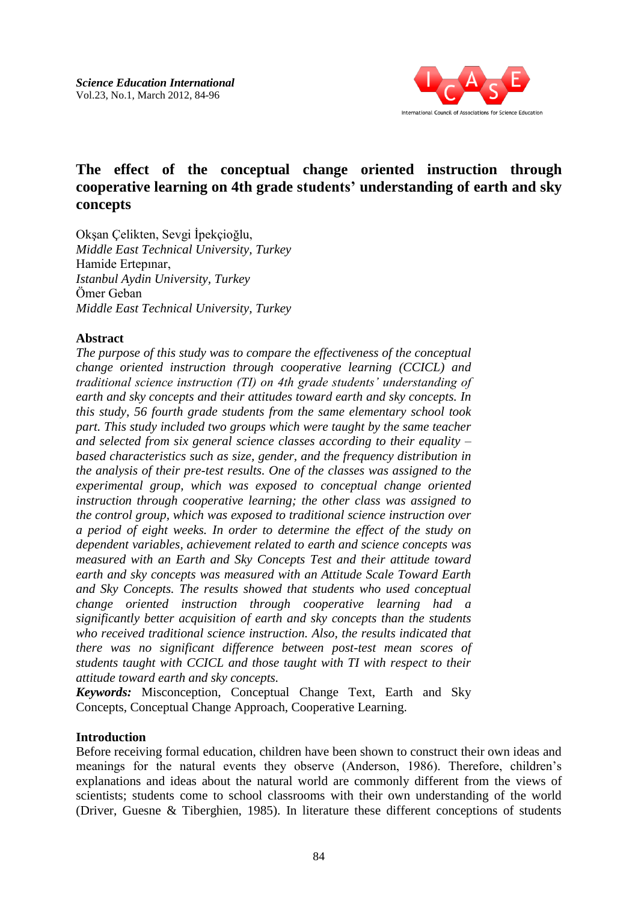

# **The effect of the conceptual change oriented instruction through cooperative learning on 4th grade students' understanding of earth and sky concepts**

Okşan Çelikten, Sevgi İpekçioğlu, *Middle East Technical University, Turkey* Hamide Ertepınar, *Istanbul Aydin University, Turkey* Ömer Geban *Middle East Technical University, Turkey*

## **Abstract**

*The purpose of this study was to compare the effectiveness of the conceptual change oriented instruction through cooperative learning (CCICL) and traditional science instruction (TI) on 4th grade students' understanding of earth and sky concepts and their attitudes toward earth and sky concepts. In this study, 56 fourth grade students from the same elementary school took part. This study included two groups which were taught by the same teacher and selected from six general science classes according to their equality – based characteristics such as size, gender, and the frequency distribution in the analysis of their pre-test results. One of the classes was assigned to the experimental group, which was exposed to conceptual change oriented instruction through cooperative learning; the other class was assigned to the control group, which was exposed to traditional science instruction over a period of eight weeks. In order to determine the effect of the study on dependent variables, achievement related to earth and science concepts was measured with an Earth and Sky Concepts Test and their attitude toward earth and sky concepts was measured with an Attitude Scale Toward Earth and Sky Concepts. The results showed that students who used conceptual change oriented instruction through cooperative learning had a significantly better acquisition of earth and sky concepts than the students who received traditional science instruction. Also, the results indicated that there was no significant difference between post-test mean scores of students taught with CCICL and those taught with TI with respect to their attitude toward earth and sky concepts.* 

*Keywords:* Misconception, Conceptual Change Text, Earth and Sky Concepts, Conceptual Change Approach, Cooperative Learning.

## **Introduction**

Before receiving formal education, children have been shown to construct their own ideas and meanings for the natural events they observe (Anderson, 1986). Therefore, children's explanations and ideas about the natural world are commonly different from the views of scientists; students come to school classrooms with their own understanding of the world (Driver, Guesne & Tiberghien, 1985). In literature these different conceptions of students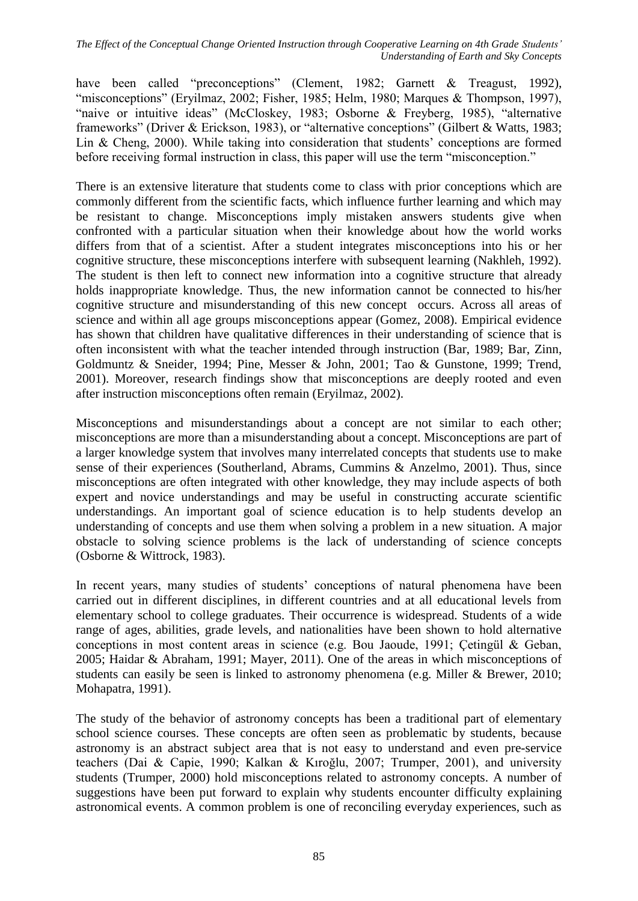have been called "preconceptions" (Clement, 1982; Garnett & Treagust, 1992), "misconceptions" (Eryilmaz, 2002; Fisher, 1985; Helm, 1980; Marques & Thompson, 1997), "naive or intuitive ideas" (McCloskey, 1983; Osborne & Freyberg, 1985), "alternative frameworks" (Driver & Erickson, 1983), or "alternative conceptions" (Gilbert & Watts, 1983; Lin & Cheng, 2000). While taking into consideration that students' conceptions are formed before receiving formal instruction in class, this paper will use the term "misconception."

There is an extensive literature that students come to class with prior conceptions which are commonly different from the scientific facts, which influence further learning and which may be resistant to change. Misconceptions imply mistaken answers students give when confronted with a particular situation when their knowledge about how the world works differs from that of a scientist. After a student integrates misconceptions into his or her cognitive structure, these misconceptions interfere with subsequent learning (Nakhleh, 1992). The student is then left to connect new information into a cognitive structure that already holds inappropriate knowledge. Thus, the new information cannot be connected to his/her cognitive structure and misunderstanding of this new concept occurs. Across all areas of science and within all age groups misconceptions appear (Gomez, 2008). Empirical evidence has shown that children have qualitative differences in their understanding of science that is often inconsistent with what the teacher intended through instruction (Bar, 1989; Bar, Zinn, Goldmuntz & Sneider, 1994; Pine, Messer & John, 2001; Tao & Gunstone, 1999; Trend, 2001). Moreover, research findings show that misconceptions are deeply rooted and even after instruction misconceptions often remain (Eryilmaz, 2002).

Misconceptions and misunderstandings about a concept are not similar to each other; misconceptions are more than a misunderstanding about a concept. Misconceptions are part of a larger knowledge system that involves many interrelated concepts that students use to make sense of their experiences (Southerland, Abrams, Cummins & Anzelmo, 2001). Thus, since misconceptions are often integrated with other knowledge, they may include aspects of both expert and novice understandings and may be useful in constructing accurate scientific understandings. An important goal of science education is to help students develop an understanding of concepts and use them when solving a problem in a new situation. A major obstacle to solving science problems is the lack of understanding of science concepts (Osborne & Wittrock, 1983).

In recent years, many studies of students' conceptions of natural phenomena have been carried out in different disciplines, in different countries and at all educational levels from elementary school to college graduates. Their occurrence is widespread. Students of a wide range of ages, abilities, grade levels, and nationalities have been shown to hold alternative conceptions in most content areas in science (e.g. Bou Jaoude, 1991; Çetingül & Geban, 2005; Haidar & Abraham, 1991; Mayer, 2011). One of the areas in which misconceptions of students can easily be seen is linked to astronomy phenomena (e.g. Miller & Brewer, 2010; Mohapatra, 1991).

The study of the behavior of astronomy concepts has been a traditional part of elementary school science courses. These concepts are often seen as problematic by students, because astronomy is an abstract subject area that is not easy to understand and even pre-service teachers (Dai & Capie, 1990; Kalkan & Kıroğlu, 2007; Trumper, 2001), and university students (Trumper, 2000) hold misconceptions related to astronomy concepts. A number of suggestions have been put forward to explain why students encounter difficulty explaining astronomical events. A common problem is one of reconciling everyday experiences, such as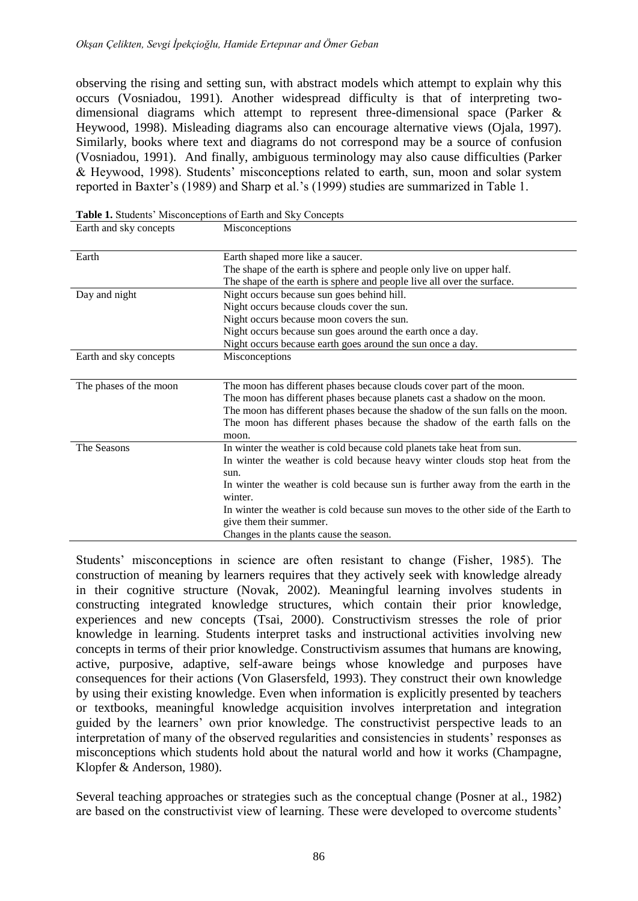observing the rising and setting sun, with abstract models which attempt to explain why this occurs (Vosniadou, 1991). Another widespread difficulty is that of interpreting twodimensional diagrams which attempt to represent three-dimensional space (Parker & Heywood, 1998). Misleading diagrams also can encourage alternative views (Ojala, 1997). Similarly, books where text and diagrams do not correspond may be a source of confusion (Vosniadou, 1991). And finally, ambiguous terminology may also cause difficulties (Parker & Heywood, 1998). Students' misconceptions related to earth, sun, moon and solar system reported in Baxter's (1989) and Sharp et al.'s (1999) studies are summarized in Table 1.

| Earth                  | Earth shaped more like a saucer.                                                  |
|------------------------|-----------------------------------------------------------------------------------|
|                        | The shape of the earth is sphere and people only live on upper half.              |
|                        | The shape of the earth is sphere and people live all over the surface.            |
| Day and night          | Night occurs because sun goes behind hill.                                        |
|                        | Night occurs because clouds cover the sun.                                        |
|                        | Night occurs because moon covers the sun.                                         |
|                        | Night occurs because sun goes around the earth once a day.                        |
|                        | Night occurs because earth goes around the sun once a day.                        |
| Earth and sky concepts | Misconceptions                                                                    |
|                        |                                                                                   |
| The phases of the moon | The moon has different phases because clouds cover part of the moon.              |
|                        | The moon has different phases because planets cast a shadow on the moon.          |
|                        | The moon has different phases because the shadow of the sun falls on the moon.    |
|                        | The moon has different phases because the shadow of the earth falls on the        |
|                        | moon.                                                                             |
| The Seasons            | In winter the weather is cold because cold planets take heat from sun.            |
|                        | In winter the weather is cold because heavy winter clouds stop heat from the      |
|                        | sun.                                                                              |
|                        | In winter the weather is cold because sun is further away from the earth in the   |
|                        | winter.                                                                           |
|                        | In winter the weather is cold because sun moves to the other side of the Earth to |
|                        | give them their summer.                                                           |
|                        | Changes in the plants cause the season.                                           |

**Table 1.** Students' Misconceptions of Earth and Sky Concepts

Earth and sky concepts Misconceptions

Students' misconceptions in science are often resistant to change (Fisher, 1985). The construction of meaning by learners requires that they actively seek with knowledge already in their cognitive structure (Novak, 2002). Meaningful learning involves students in constructing integrated knowledge structures, which contain their prior knowledge, experiences and new concepts (Tsai, 2000). Constructivism stresses the role of prior knowledge in learning. Students interpret tasks and instructional activities involving new concepts in terms of their prior knowledge. Constructivism assumes that humans are knowing, active, purposive, adaptive, self-aware beings whose knowledge and purposes have consequences for their actions (Von Glasersfeld, 1993). They construct their own knowledge by using their existing knowledge. Even when information is explicitly presented by teachers or textbooks, meaningful knowledge acquisition involves interpretation and integration guided by the learners' own prior knowledge. The constructivist perspective leads to an interpretation of many of the observed regularities and consistencies in students' responses as misconceptions which students hold about the natural world and how it works (Champagne, Klopfer & Anderson, 1980).

Several teaching approaches or strategies such as the conceptual change (Posner at al., 1982) are based on the constructivist view of learning. These were developed to overcome students'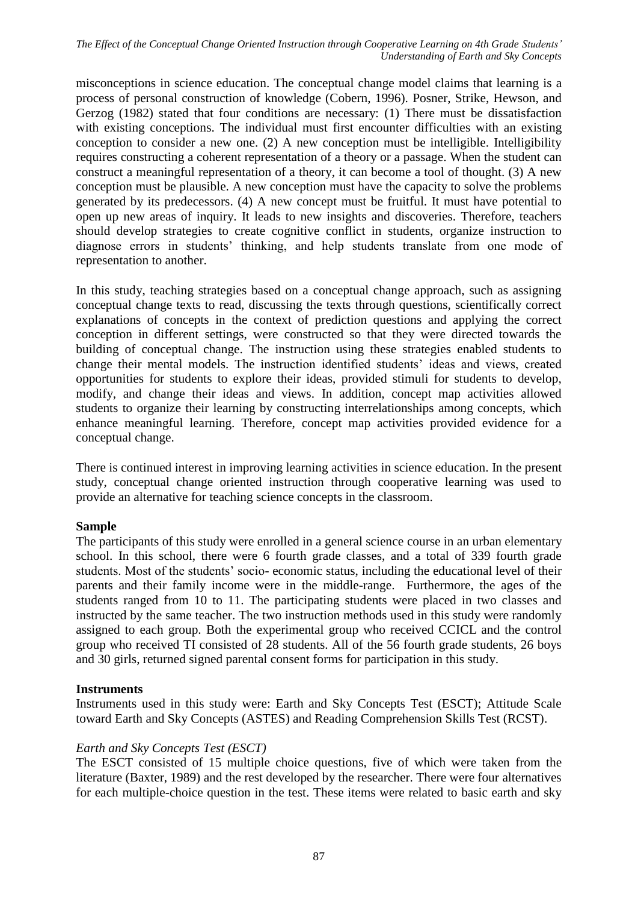*The Effect of the Conceptual Change Oriented Instruction through Cooperative Learning on 4th Grade Students' Understanding of Earth and Sky Concepts*

misconceptions in science education. The conceptual change model claims that learning is a process of personal construction of knowledge (Cobern, 1996). Posner, Strike, Hewson, and Gerzog (1982) stated that four conditions are necessary: (1) There must be dissatisfaction with existing conceptions. The individual must first encounter difficulties with an existing conception to consider a new one. (2) A new conception must be intelligible. Intelligibility requires constructing a coherent representation of a theory or a passage. When the student can construct a meaningful representation of a theory, it can become a tool of thought. (3) A new conception must be plausible. A new conception must have the capacity to solve the problems generated by its predecessors. (4) A new concept must be fruitful. It must have potential to open up new areas of inquiry. It leads to new insights and discoveries. Therefore, teachers should develop strategies to create cognitive conflict in students, organize instruction to diagnose errors in students' thinking, and help students translate from one mode of representation to another.

In this study, teaching strategies based on a conceptual change approach, such as assigning conceptual change texts to read, discussing the texts through questions, scientifically correct explanations of concepts in the context of prediction questions and applying the correct conception in different settings, were constructed so that they were directed towards the building of conceptual change. The instruction using these strategies enabled students to change their mental models. The instruction identified students' ideas and views, created opportunities for students to explore their ideas, provided stimuli for students to develop, modify, and change their ideas and views. In addition, concept map activities allowed students to organize their learning by constructing interrelationships among concepts, which enhance meaningful learning. Therefore, concept map activities provided evidence for a conceptual change.

There is continued interest in improving learning activities in science education. In the present study, conceptual change oriented instruction through cooperative learning was used to provide an alternative for teaching science concepts in the classroom.

## **Sample**

The participants of this study were enrolled in a general science course in an urban elementary school. In this school, there were 6 fourth grade classes, and a total of 339 fourth grade students. Most of the students' socio- economic status, including the educational level of their parents and their family income were in the middle-range. Furthermore, the ages of the students ranged from 10 to 11. The participating students were placed in two classes and instructed by the same teacher. The two instruction methods used in this study were randomly assigned to each group. Both the experimental group who received CCICL and the control group who received TI consisted of 28 students. All of the 56 fourth grade students, 26 boys and 30 girls, returned signed parental consent forms for participation in this study.

## **Instruments**

Instruments used in this study were: Earth and Sky Concepts Test (ESCT); Attitude Scale toward Earth and Sky Concepts (ASTES) and Reading Comprehension Skills Test (RCST).

## *Earth and Sky Concepts Test (ESCT)*

The ESCT consisted of 15 multiple choice questions, five of which were taken from the literature (Baxter, 1989) and the rest developed by the researcher. There were four alternatives for each multiple-choice question in the test. These items were related to basic earth and sky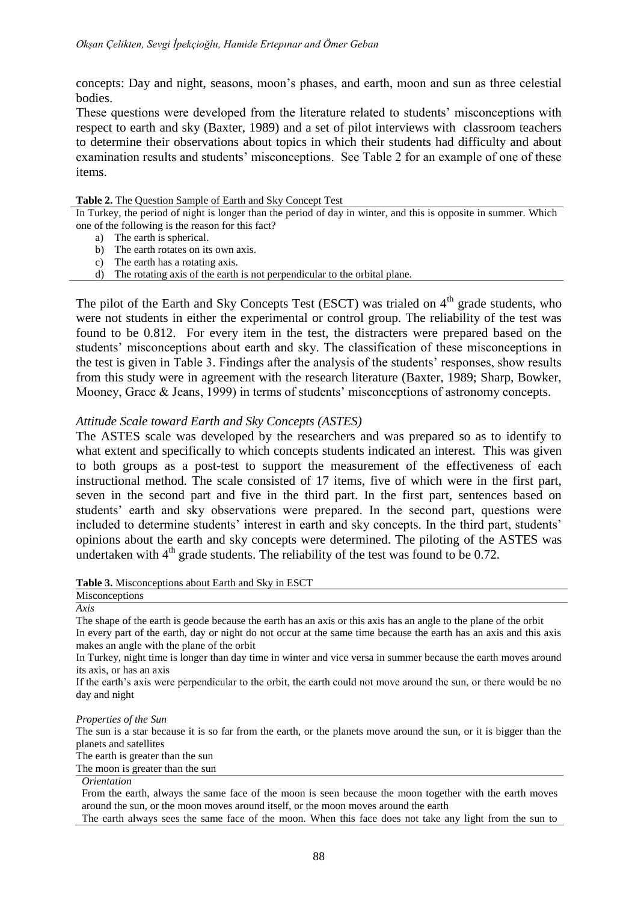concepts: Day and night, seasons, moon's phases, and earth, moon and sun as three celestial bodies.

These questions were developed from the literature related to students' misconceptions with respect to earth and sky (Baxter, 1989) and a set of pilot interviews with classroom teachers to determine their observations about topics in which their students had difficulty and about examination results and students' misconceptions. See Table 2 for an example of one of these items.

#### **Table 2.** The Question Sample of Earth and Sky Concept Test

In Turkey, the period of night is longer than the period of day in winter, and this is opposite in summer. Which one of the following is the reason for this fact?

- a) The earth is spherical.
- b) The earth rotates on its own axis.
- c) The earth has a rotating axis.
- d) The rotating axis of the earth is not perpendicular to the orbital plane.

The pilot of the Earth and Sky Concepts Test (ESCT) was trialed on  $4<sup>th</sup>$  grade students, who were not students in either the experimental or control group. The reliability of the test was found to be 0.812. For every item in the test, the distracters were prepared based on the students' misconceptions about earth and sky. The classification of these misconceptions in the test is given in Table 3. Findings after the analysis of the students' responses, show results from this study were in agreement with the research literature (Baxter, 1989; Sharp, Bowker, Mooney, Grace & Jeans, 1999) in terms of students' misconceptions of astronomy concepts.

### *Attitude Scale toward Earth and Sky Concepts (ASTES)*

The ASTES scale was developed by the researchers and was prepared so as to identify to what extent and specifically to which concepts students indicated an interest. This was given to both groups as a post-test to support the measurement of the effectiveness of each instructional method. The scale consisted of 17 items, five of which were in the first part, seven in the second part and five in the third part. In the first part, sentences based on students' earth and sky observations were prepared. In the second part, questions were included to determine students' interest in earth and sky concepts. In the third part, students' opinions about the earth and sky concepts were determined. The piloting of the ASTES was undertaken with  $4<sup>th</sup>$  grade students. The reliability of the test was found to be 0.72.

#### **Table 3.** Misconceptions about Earth and Sky in ESCT

#### **Misconceptions** *Axis*

The shape of the earth is geode because the earth has an axis or this axis has an angle to the plane of the orbit In every part of the earth, day or night do not occur at the same time because the earth has an axis and this axis makes an angle with the plane of the orbit

In Turkey, night time is longer than day time in winter and vice versa in summer because the earth moves around its axis, or has an axis

If the earth's axis were perpendicular to the orbit, the earth could not move around the sun, or there would be no day and night

#### *Properties of the Sun*

The sun is a star because it is so far from the earth, or the planets move around the sun, or it is bigger than the planets and satellites

The earth is greater than the sun

The moon is greater than the sun

#### *Orientation*

From the earth, always the same face of the moon is seen because the moon together with the earth moves around the sun, or the moon moves around itself, or the moon moves around the earth

The earth always sees the same face of the moon. When this face does not take any light from the sun to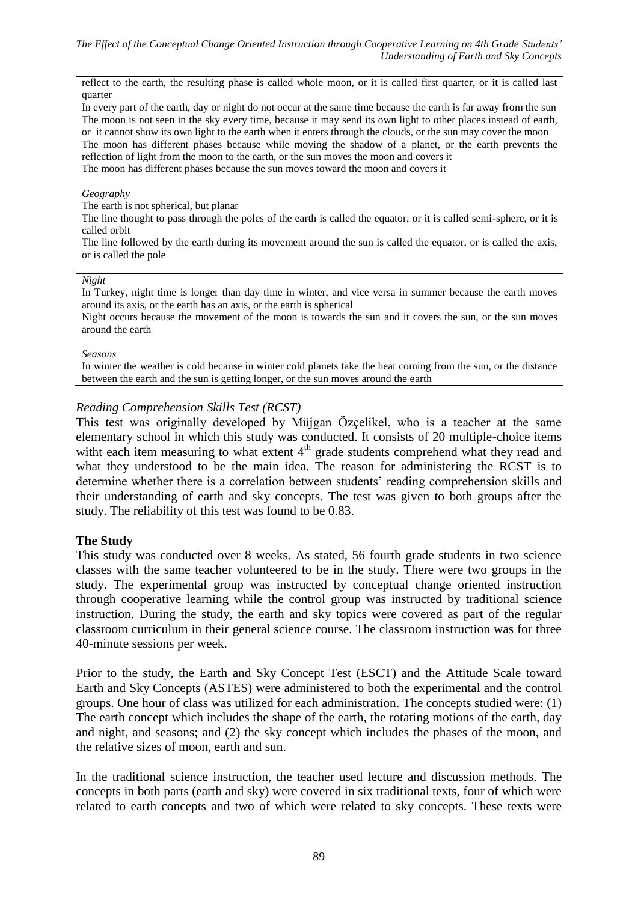reflect to the earth, the resulting phase is called whole moon, or it is called first quarter, or it is called last quarter

In every part of the earth, day or night do not occur at the same time because the earth is far away from the sun The moon is not seen in the sky every time, because it may send its own light to other places instead of earth, or it cannot show its own light to the earth when it enters through the clouds, or the sun may cover the moon The moon has different phases because while moving the shadow of a planet, or the earth prevents the reflection of light from the moon to the earth, or the sun moves the moon and covers it The moon has different phases because the sun moves toward the moon and covers it

#### *Geography*

The earth is not spherical, but planar

The line thought to pass through the poles of the earth is called the equator, or it is called semi-sphere, or it is called orbit

The line followed by the earth during its movement around the sun is called the equator, or is called the axis, or is called the pole

#### *Night*

In Turkey, night time is longer than day time in winter, and vice versa in summer because the earth moves around its axis, or the earth has an axis, or the earth is spherical

Night occurs because the movement of the moon is towards the sun and it covers the sun, or the sun moves around the earth

#### *Seasons*

In winter the weather is cold because in winter cold planets take the heat coming from the sun, or the distance between the earth and the sun is getting longer, or the sun moves around the earth

### *Reading Comprehension Skills Test (RCST)*

This test was originally developed by Müjgan Özçelikel, who is a teacher at the same elementary school in which this study was conducted. It consists of 20 multiple-choice items witht each item measuring to what extent  $4<sup>th</sup>$  grade students comprehend what they read and what they understood to be the main idea. The reason for administering the RCST is to determine whether there is a correlation between students' reading comprehension skills and their understanding of earth and sky concepts. The test was given to both groups after the study. The reliability of this test was found to be 0.83.

### **The Study**

This study was conducted over 8 weeks. As stated, 56 fourth grade students in two science classes with the same teacher volunteered to be in the study. There were two groups in the study. The experimental group was instructed by conceptual change oriented instruction through cooperative learning while the control group was instructed by traditional science instruction. During the study, the earth and sky topics were covered as part of the regular classroom curriculum in their general science course. The classroom instruction was for three 40-minute sessions per week.

Prior to the study, the Earth and Sky Concept Test (ESCT) and the Attitude Scale toward Earth and Sky Concepts (ASTES) were administered to both the experimental and the control groups. One hour of class was utilized for each administration. The concepts studied were: (1) The earth concept which includes the shape of the earth, the rotating motions of the earth, day and night, and seasons; and (2) the sky concept which includes the phases of the moon, and the relative sizes of moon, earth and sun.

In the traditional science instruction, the teacher used lecture and discussion methods. The concepts in both parts (earth and sky) were covered in six traditional texts, four of which were related to earth concepts and two of which were related to sky concepts. These texts were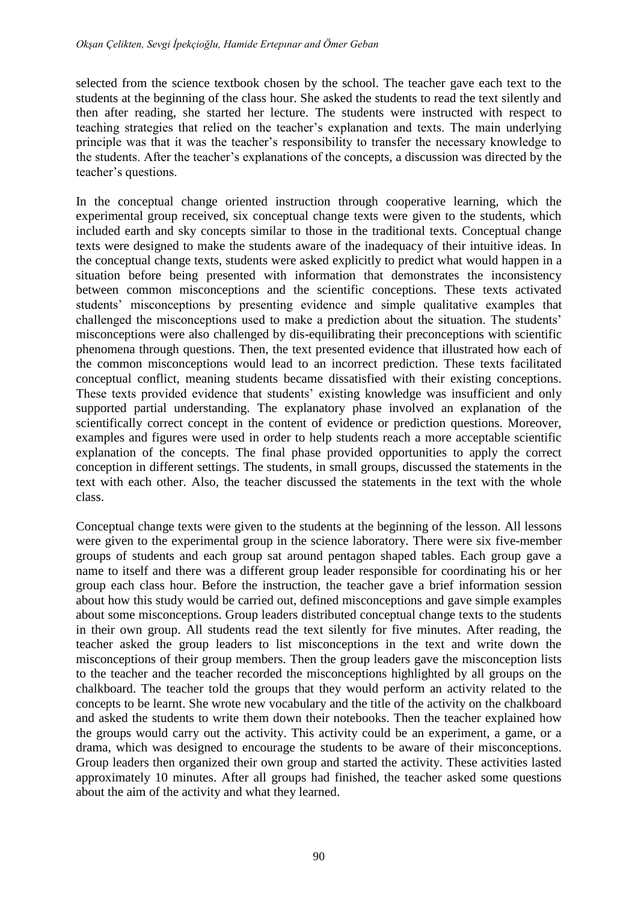selected from the science textbook chosen by the school. The teacher gave each text to the students at the beginning of the class hour. She asked the students to read the text silently and then after reading, she started her lecture. The students were instructed with respect to teaching strategies that relied on the teacher's explanation and texts. The main underlying principle was that it was the teacher's responsibility to transfer the necessary knowledge to the students. After the teacher's explanations of the concepts, a discussion was directed by the teacher's questions.

In the conceptual change oriented instruction through cooperative learning, which the experimental group received, six conceptual change texts were given to the students, which included earth and sky concepts similar to those in the traditional texts. Conceptual change texts were designed to make the students aware of the inadequacy of their intuitive ideas. In the conceptual change texts, students were asked explicitly to predict what would happen in a situation before being presented with information that demonstrates the inconsistency between common misconceptions and the scientific conceptions. These texts activated students' misconceptions by presenting evidence and simple qualitative examples that challenged the misconceptions used to make a prediction about the situation. The students' misconceptions were also challenged by dis-equilibrating their preconceptions with scientific phenomena through questions. Then, the text presented evidence that illustrated how each of the common misconceptions would lead to an incorrect prediction. These texts facilitated conceptual conflict, meaning students became dissatisfied with their existing conceptions. These texts provided evidence that students' existing knowledge was insufficient and only supported partial understanding. The explanatory phase involved an explanation of the scientifically correct concept in the content of evidence or prediction questions. Moreover, examples and figures were used in order to help students reach a more acceptable scientific explanation of the concepts. The final phase provided opportunities to apply the correct conception in different settings. The students, in small groups, discussed the statements in the text with each other. Also, the teacher discussed the statements in the text with the whole class.

Conceptual change texts were given to the students at the beginning of the lesson. All lessons were given to the experimental group in the science laboratory. There were six five-member groups of students and each group sat around pentagon shaped tables. Each group gave a name to itself and there was a different group leader responsible for coordinating his or her group each class hour. Before the instruction, the teacher gave a brief information session about how this study would be carried out, defined misconceptions and gave simple examples about some misconceptions. Group leaders distributed conceptual change texts to the students in their own group. All students read the text silently for five minutes. After reading, the teacher asked the group leaders to list misconceptions in the text and write down the misconceptions of their group members. Then the group leaders gave the misconception lists to the teacher and the teacher recorded the misconceptions highlighted by all groups on the chalkboard. The teacher told the groups that they would perform an activity related to the concepts to be learnt. She wrote new vocabulary and the title of the activity on the chalkboard and asked the students to write them down their notebooks. Then the teacher explained how the groups would carry out the activity. This activity could be an experiment, a game, or a drama, which was designed to encourage the students to be aware of their misconceptions. Group leaders then organized their own group and started the activity. These activities lasted approximately 10 minutes. After all groups had finished, the teacher asked some questions about the aim of the activity and what they learned.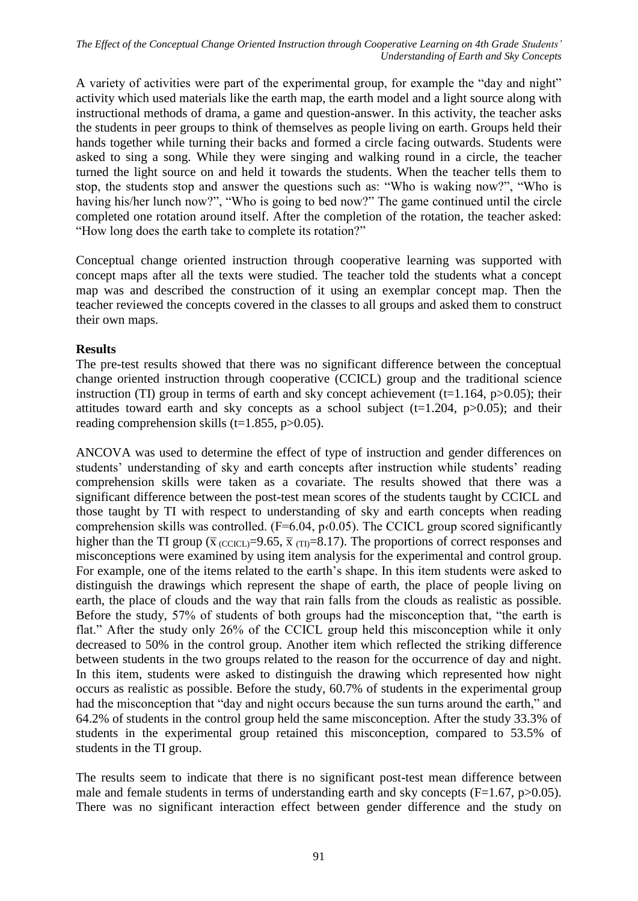A variety of activities were part of the experimental group, for example the "day and night" activity which used materials like the earth map, the earth model and a light source along with instructional methods of drama, a game and question-answer. In this activity, the teacher asks the students in peer groups to think of themselves as people living on earth. Groups held their hands together while turning their backs and formed a circle facing outwards. Students were asked to sing a song. While they were singing and walking round in a circle, the teacher turned the light source on and held it towards the students. When the teacher tells them to stop, the students stop and answer the questions such as: "Who is waking now?", "Who is having his/her lunch now?", "Who is going to bed now?" The game continued until the circle completed one rotation around itself. After the completion of the rotation, the teacher asked: "How long does the earth take to complete its rotation?"

Conceptual change oriented instruction through cooperative learning was supported with concept maps after all the texts were studied. The teacher told the students what a concept map was and described the construction of it using an exemplar concept map. Then the teacher reviewed the concepts covered in the classes to all groups and asked them to construct their own maps.

## **Results**

The pre-test results showed that there was no significant difference between the conceptual change oriented instruction through cooperative (CCICL) group and the traditional science instruction (TI) group in terms of earth and sky concept achievement ( $t=1.164$ ,  $p>0.05$ ); their attitudes toward earth and sky concepts as a school subject (t=1.204,  $p>0.05$ ); and their reading comprehension skills (t=1.855,  $p>0.05$ ).

ANCOVA was used to determine the effect of type of instruction and gender differences on students' understanding of sky and earth concepts after instruction while students' reading comprehension skills were taken as a covariate. The results showed that there was a significant difference between the post-test mean scores of the students taught by CCICL and those taught by TI with respect to understanding of sky and earth concepts when reading comprehension skills was controlled.  $(F=6.04, p<0.05)$ . The CCICL group scored significantly higher than the TI group ( $\bar{x}$  (CCICL)=9.65,  $\bar{x}$  (T<sub>I</sub>)=8.17). The proportions of correct responses and misconceptions were examined by using item analysis for the experimental and control group. For example, one of the items related to the earth's shape. In this item students were asked to distinguish the drawings which represent the shape of earth, the place of people living on earth, the place of clouds and the way that rain falls from the clouds as realistic as possible. Before the study, 57% of students of both groups had the misconception that, "the earth is flat." After the study only 26% of the CCICL group held this misconception while it only decreased to 50% in the control group. Another item which reflected the striking difference between students in the two groups related to the reason for the occurrence of day and night. In this item, students were asked to distinguish the drawing which represented how night occurs as realistic as possible. Before the study, 60.7% of students in the experimental group had the misconception that "day and night occurs because the sun turns around the earth," and 64.2% of students in the control group held the same misconception. After the study 33.3% of students in the experimental group retained this misconception, compared to 53.5% of students in the TI group.

The results seem to indicate that there is no significant post-test mean difference between male and female students in terms of understanding earth and sky concepts  $(F=1.67, p>0.05)$ . There was no significant interaction effect between gender difference and the study on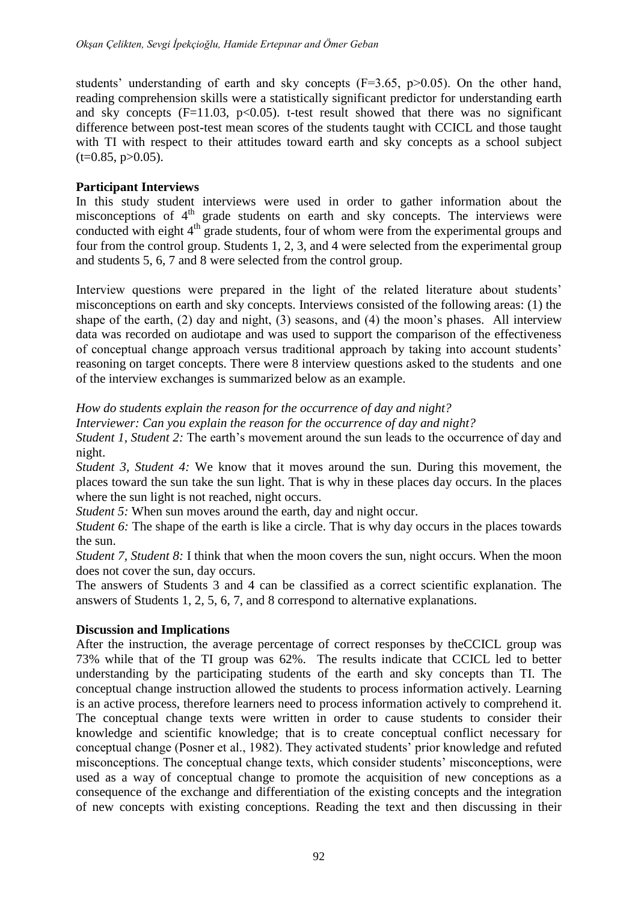students' understanding of earth and sky concepts  $(F=3.65, p>0.05)$ . On the other hand, reading comprehension skills were a statistically significant predictor for understanding earth and sky concepts  $(F=11.03, p<0.05)$ . t-test result showed that there was no significant difference between post-test mean scores of the students taught with CCICL and those taught with TI with respect to their attitudes toward earth and sky concepts as a school subject  $(t=0.85, p>0.05)$ .

## **Participant Interviews**

In this study student interviews were used in order to gather information about the misconceptions of 4<sup>th</sup> grade students on earth and sky concepts. The interviews were conducted with eight  $4<sup>th</sup>$  grade students, four of whom were from the experimental groups and four from the control group. Students 1, 2, 3, and 4 were selected from the experimental group and students 5, 6, 7 and 8 were selected from the control group.

Interview questions were prepared in the light of the related literature about students' misconceptions on earth and sky concepts. Interviews consisted of the following areas: (1) the shape of the earth, (2) day and night, (3) seasons, and (4) the moon's phases. All interview data was recorded on audiotape and was used to support the comparison of the effectiveness of conceptual change approach versus traditional approach by taking into account students' reasoning on target concepts. There were 8 interview questions asked to the students and one of the interview exchanges is summarized below as an example.

*How do students explain the reason for the occurrence of day and night?*

*Interviewer: Can you explain the reason for the occurrence of day and night?*

*Student 1, Student 2:* The earth's movement around the sun leads to the occurrence of day and night.

*Student 3, Student 4:* We know that it moves around the sun. During this movement, the places toward the sun take the sun light. That is why in these places day occurs. In the places where the sun light is not reached, night occurs.

*Student 5:* When sun moves around the earth, day and night occur.

*Student 6:* The shape of the earth is like a circle. That is why day occurs in the places towards the sun.

*Student 7, Student 8:* I think that when the moon covers the sun, night occurs. When the moon does not cover the sun, day occurs.

The answers of Students 3 and 4 can be classified as a correct scientific explanation. The answers of Students 1, 2, 5, 6, 7, and 8 correspond to alternative explanations.

## **Discussion and Implications**

After the instruction, the average percentage of correct responses by theCCICL group was 73% while that of the TI group was 62%. The results indicate that CCICL led to better understanding by the participating students of the earth and sky concepts than TI. The conceptual change instruction allowed the students to process information actively. Learning is an active process, therefore learners need to process information actively to comprehend it. The conceptual change texts were written in order to cause students to consider their knowledge and scientific knowledge; that is to create conceptual conflict necessary for conceptual change (Posner et al., 1982). They activated students' prior knowledge and refuted misconceptions. The conceptual change texts, which consider students' misconceptions, were used as a way of conceptual change to promote the acquisition of new conceptions as a consequence of the exchange and differentiation of the existing concepts and the integration of new concepts with existing conceptions. Reading the text and then discussing in their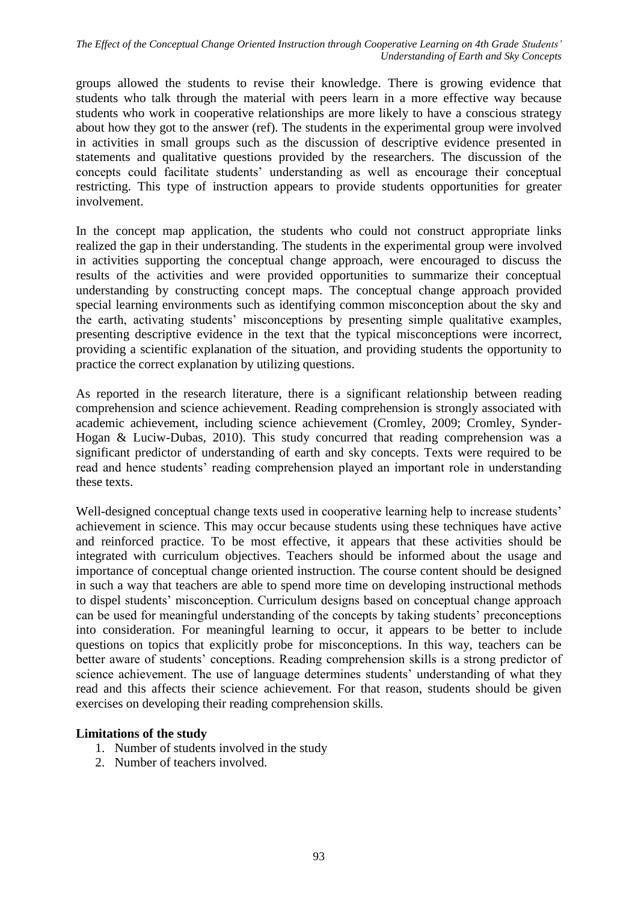*The Effect of the Conceptual Change Oriented Instruction through Cooperative Learning on 4th Grade Students' Understanding of Earth and Sky Concepts*

groups allowed the students to revise their knowledge. There is growing evidence that students who talk through the material with peers learn in a more effective way because students who work in cooperative relationships are more likely to have a conscious strategy about how they got to the answer (ref). The students in the experimental group were involved in activities in small groups such as the discussion of descriptive evidence presented in statements and qualitative questions provided by the researchers. The discussion of the concepts could facilitate students' understanding as well as encourage their conceptual restricting. This type of instruction appears to provide students opportunities for greater involvement.

In the concept map application, the students who could not construct appropriate links realized the gap in their understanding. The students in the experimental group were involved in activities supporting the conceptual change approach, were encouraged to discuss the results of the activities and were provided opportunities to summarize their conceptual understanding by constructing concept maps. The conceptual change approach provided special learning environments such as identifying common misconception about the sky and the earth, activating students' misconceptions by presenting simple qualitative examples, presenting descriptive evidence in the text that the typical misconceptions were incorrect, providing a scientific explanation of the situation, and providing students the opportunity to practice the correct explanation by utilizing questions.

As reported in the research literature, there is a significant relationship between reading comprehension and science achievement. Reading comprehension is strongly associated with academic achievement, including science achievement (Cromley, 2009; Cromley, Synder-Hogan & Luciw-Dubas, 2010). This study concurred that reading comprehension was a significant predictor of understanding of earth and sky concepts. Texts were required to be read and hence students' reading comprehension played an important role in understanding these texts.

Well-designed conceptual change texts used in cooperative learning help to increase students' achievement in science. This may occur because students using these techniques have active and reinforced practice. To be most effective, it appears that these activities should be integrated with curriculum objectives. Teachers should be informed about the usage and importance of conceptual change oriented instruction. The course content should be designed in such a way that teachers are able to spend more time on developing instructional methods to dispel students' misconception. Curriculum designs based on conceptual change approach can be used for meaningful understanding of the concepts by taking students' preconceptions into consideration. For meaningful learning to occur, it appears to be better to include questions on topics that explicitly probe for misconceptions. In this way, teachers can be better aware of students' conceptions. Reading comprehension skills is a strong predictor of science achievement. The use of language determines students' understanding of what they read and this affects their science achievement. For that reason, students should be given exercises on developing their reading comprehension skills.

## **Limitations of the study**

- 1. Number of students involved in the study
- 2. Number of teachers involved.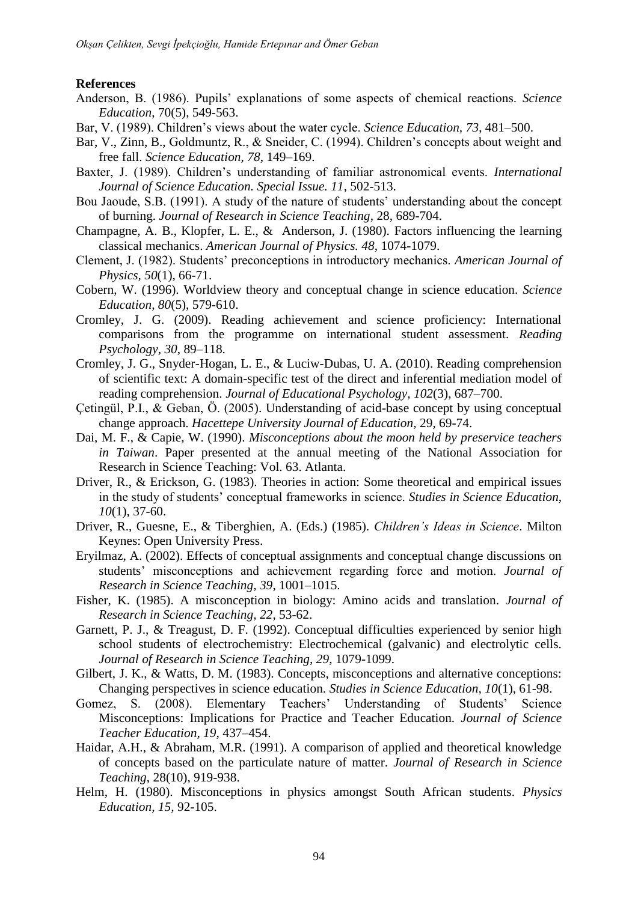## **References**

- Anderson, B. (1986). Pupils' explanations of some aspects of chemical reactions. *Science Education*, 70(5), 549-563.
- Bar, V. (1989). Children's views about the water cycle. *Science Education, 73*, 481–500.
- Bar, V., Zinn, B., Goldmuntz, R., & Sneider, C. (1994). Children's concepts about weight and free fall. *Science Education, 78*, 149–169.
- Baxter, J. (1989). Children's understanding of familiar astronomical events. *International Journal of Science Education. Special Issue. 11*, 502-513.
- Bou Jaoude, S.B. (1991). A study of the nature of students' understanding about the concept of burning. *Journal of Research in Science Teaching*, 28, 689-704.
- Champagne, A. B., Klopfer, L. E., & Anderson, J. (1980). Factors influencing the learning classical mechanics. *American Journal of Physics. 48*, 1074-1079.
- Clement, J. (1982). Students' preconceptions in introductory mechanics. *American Journal of Physics, 50*(1), 66-71.
- Cobern, W. (1996). Worldview theory and conceptual change in science education. *Science Education, 80*(5), 579-610.
- Cromley, J. G. (2009). Reading achievement and science proficiency: International comparisons from the programme on international student assessment. *Reading Psychology, 30*, 89–118.
- Cromley, J. G., Snyder-Hogan, L. E., & Luciw-Dubas, U. A. (2010). Reading comprehension of scientific text: A domain-specific test of the direct and inferential mediation model of reading comprehension. *Journal of Educational Psychology, 102*(3), 687–700.
- Çetingül, P.I., & Geban, Ö. (2005). Understanding of acid-base concept by using conceptual change approach. *Hacettepe University Journal of Education,* 29, 69-74.
- Dai, M. F., & Capie, W. (1990). *Misconceptions about the moon held by preservice teachers in Taiwan*. Paper presented at the annual meeting of the National Association for Research in Science Teaching: Vol. 63. Atlanta.
- Driver, R., & Erickson, G. (1983). Theories in action: Some theoretical and empirical issues in the study of students' conceptual frameworks in science. *Studies in Science Education, 10*(1), 37-60.
- Driver, R., Guesne, E., & Tiberghien, A. (Eds.) (1985). *Children's Ideas in Science*. Milton Keynes: Open University Press.
- Eryilmaz, A. (2002). Effects of conceptual assignments and conceptual change discussions on students' misconceptions and achievement regarding force and motion. *Journal of Research in Science Teaching, 39*, 1001–1015.
- Fisher, K. (1985). A misconception in biology: Amino acids and translation. *Journal of Research in Science Teaching, 22*, 53-62.
- Garnett, P. J., & Treagust, D. F. (1992). Conceptual difficulties experienced by senior high school students of electrochemistry: Electrochemical (galvanic) and electrolytic cells. *Journal of Research in Science Teaching, 29*, 1079-1099.
- Gilbert, J. K., & Watts, D. M. (1983). Concepts, misconceptions and alternative conceptions: Changing perspectives in science education. *Studies in Science Education, 10*(1), 61-98.
- Gomez, S. (2008). Elementary Teachers' Understanding of Students' Science Misconceptions: Implications for Practice and Teacher Education. *Journal of Science Teacher Education, 19*, 437–454.
- Haidar, A.H., & Abraham, M.R. (1991). A comparison of applied and theoretical knowledge of concepts based on the particulate nature of matter. *Journal of Research in Science Teaching*, 28(10), 919-938.
- Helm, H. (1980). Misconceptions in physics amongst South African students. *Physics Education, 15,* 92-105.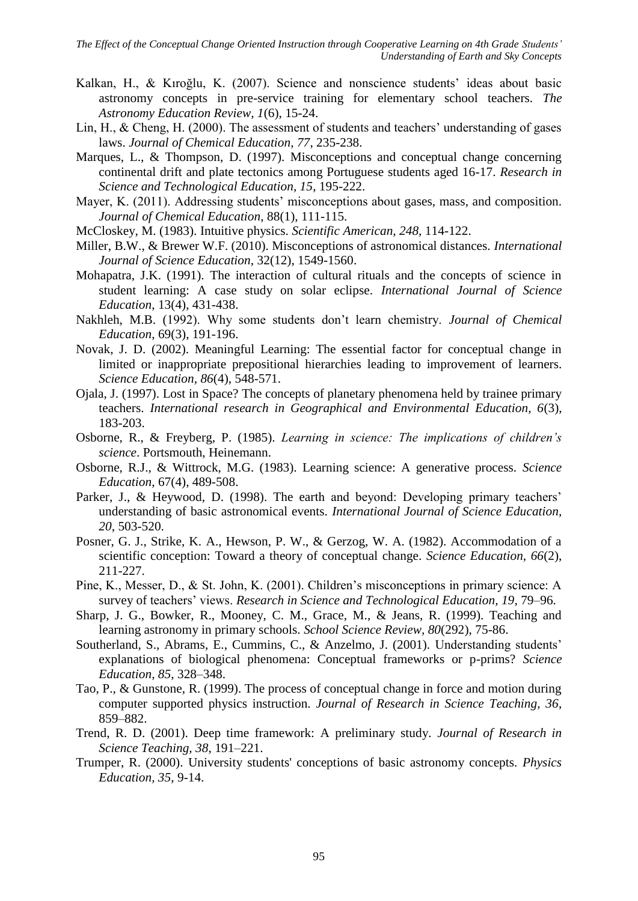- Kalkan, H., & Kıroğlu, K. (2007). Science and nonscience students' ideas about basic astronomy concepts in pre-service training for elementary school teachers. *The Astronomy Education Review, 1*(6), 15-24.
- Lin, H., & Cheng, H. (2000). The assessment of students and teachers' understanding of gases laws. *Journal of Chemical Education, 77*, 235-238.
- Marques, L., & Thompson, D. (1997). Misconceptions and conceptual change concerning continental drift and plate tectonics among Portuguese students aged 16-17. *Research in Science and Technological Education, 15*, 195-222.
- Mayer, K. (2011). Addressing students' misconceptions about gases, mass, and composition. *Journal of Chemical Education*, 88(1), 111-115.
- McCloskey, M. (1983). Intuitive physics. *Scientific American, 248*, 114-122.
- Miller, B.W., & Brewer W.F. (2010). Misconceptions of astronomical distances. *International Journal of Science Education*, 32(12), 1549-1560.
- Mohapatra, J.K. (1991). The interaction of cultural rituals and the concepts of science in student learning: A case study on solar eclipse. *International Journal of Science Education*, 13(4), 431-438.
- Nakhleh, M.B. (1992). Why some students don't learn chemistry. *Journal of Chemical Education*, 69(3), 191-196.
- Novak, J. D. (2002). Meaningful Learning: The essential factor for conceptual change in limited or inappropriate prepositional hierarchies leading to improvement of learners. *Science Education, 86*(4), 548-571.
- Ojala, J. (1997). Lost in Space? The concepts of planetary phenomena held by trainee primary teachers. *International research in Geographical and Environmental Education, 6*(3), 183-203.
- Osborne, R., & Freyberg, P. (1985). *Learning in science: The implications of children's science*. Portsmouth, Heinemann.
- Osborne, R.J., & Wittrock, M.G. (1983). Learning science: A generative process. *Science Education*, 67(4), 489-508.
- Parker, J., & Heywood, D. (1998). The earth and beyond: Developing primary teachers' understanding of basic astronomical events. *International Journal of Science Education, 20*, 503-520.
- Posner, G. J., Strike, K. A., Hewson, P. W., & Gerzog, W. A. (1982). Accommodation of a scientific conception: Toward a theory of conceptual change. *Science Education, 66*(2), 211-227.
- Pine, K., Messer, D., & St. John, K. (2001). Children's misconceptions in primary science: A survey of teachers' views. *Research in Science and Technological Education, 19*, 79–96.
- Sharp, J. G., Bowker, R., Mooney, C. M., Grace, M., & Jeans, R. (1999). Teaching and learning astronomy in primary schools. *School Science Review, 80*(292), 75-86.
- Southerland, S., Abrams, E., Cummins, C., & Anzelmo, J. (2001). Understanding students' explanations of biological phenomena: Conceptual frameworks or p-prims? *Science Education, 85*, 328–348.
- Tao, P., & Gunstone, R. (1999). The process of conceptual change in force and motion during computer supported physics instruction. *Journal of Research in Science Teaching, 36*, 859–882.
- Trend, R. D. (2001). Deep time framework: A preliminary study. *Journal of Research in Science Teaching, 38*, 191–221.
- Trumper, R. (2000). [University students' conceptions of basic astronomy concepts.](http://web.ebscohost.com/ehost/viewarticle?data=dGJyMPPp44rp2%2fdV0%2bnjisfk5Ie46a9It66xUbOk63nn5Kx95uXxjL6urUmvpbBIr6eeTriqsFKwqJ5Zy5zyit%2fk8Xnh6ueH7N%2fiVaunsEq2rbJMrquzPurX7H%2b72%2bw%2b4ti7ffDf4T7y1%2bVVv8Skeeyzw2K0prNPsKikfu3o63nys%2bSN6uLyffbq&hid=7) *Physics Education, 35*, 9-14.